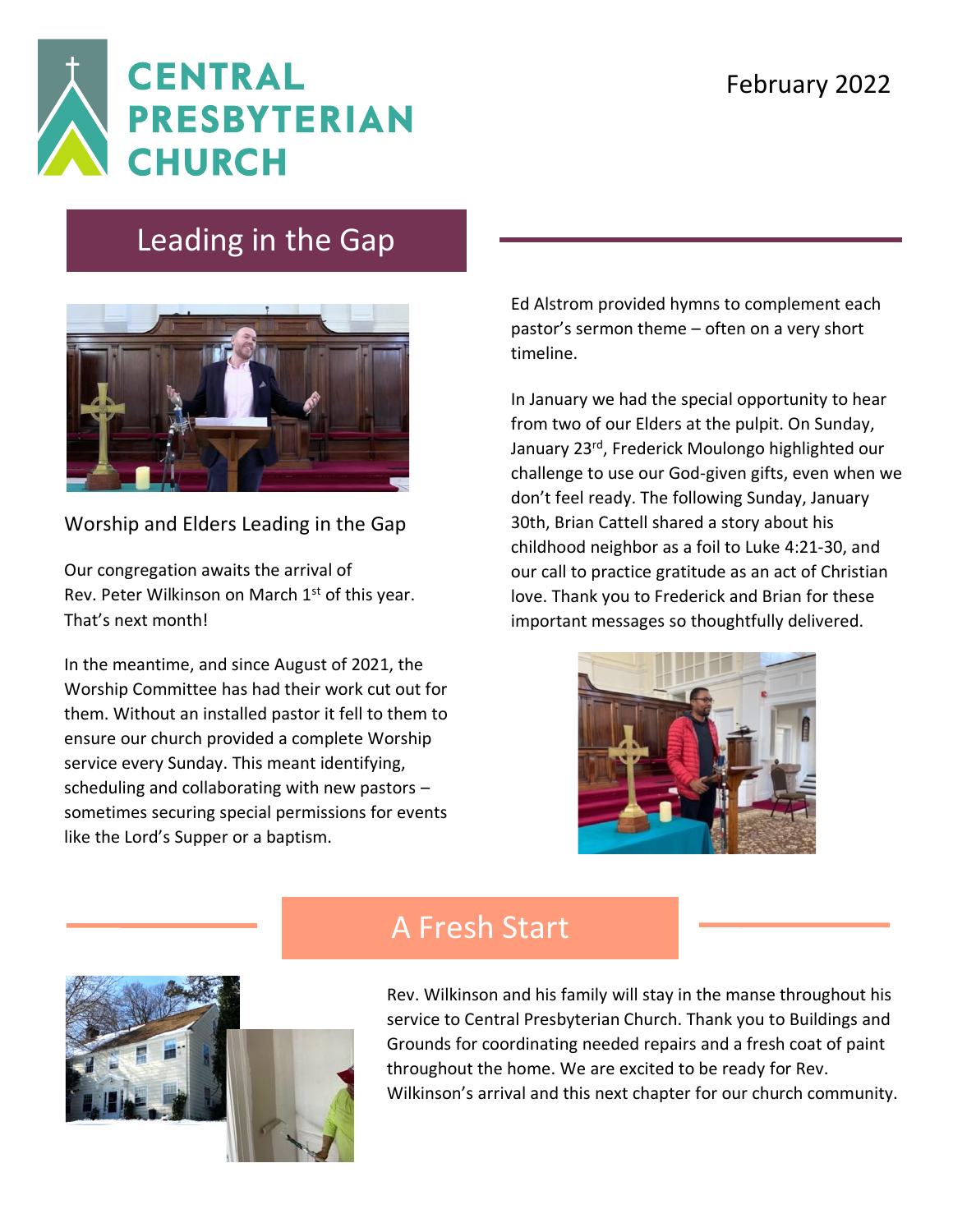

## Leading in the Gap



Worship and Elders Leading in the Gap

Our congregation awaits the arrival of Rev. Peter Wilkinson on March 1<sup>st</sup> of this year. That's next month!

In the meantime, and since August of 2021, the Worship Committee has had their work cut out for them. Without an installed pastor it fell to them to ensure our church provided a complete Worship service every Sunday. This meant identifying, scheduling and collaborating with new pastors – sometimes securing special permissions for events like the Lord's Supper or a baptism.

Ed Alstrom provided hymns to complement each pastor's sermon theme – often on a very short timeline.

In January we had the special opportunity to hear from two of our Elders at the pulpit. On Sunday, January 23rd, Frederick Moulongo highlighted our challenge to use our God-given gifts, even when we don't feel ready. The following Sunday, January 30th, Brian Cattell shared a story about his childhood neighbor as a foil to Luke 4:21-30, and our call to practice gratitude as an act of Christian love. Thank you to Frederick and Brian for these important messages so thoughtfully delivered.





## A Fresh Start

Rev. Wilkinson and his family will stay in the manse throughout his service to Central Presbyterian Church. Thank you to Buildings and Grounds for coordinating needed repairs and a fresh coat of paint throughout the home. We are excited to be ready for Rev. Wilkinson's arrival and this next chapter for our church community.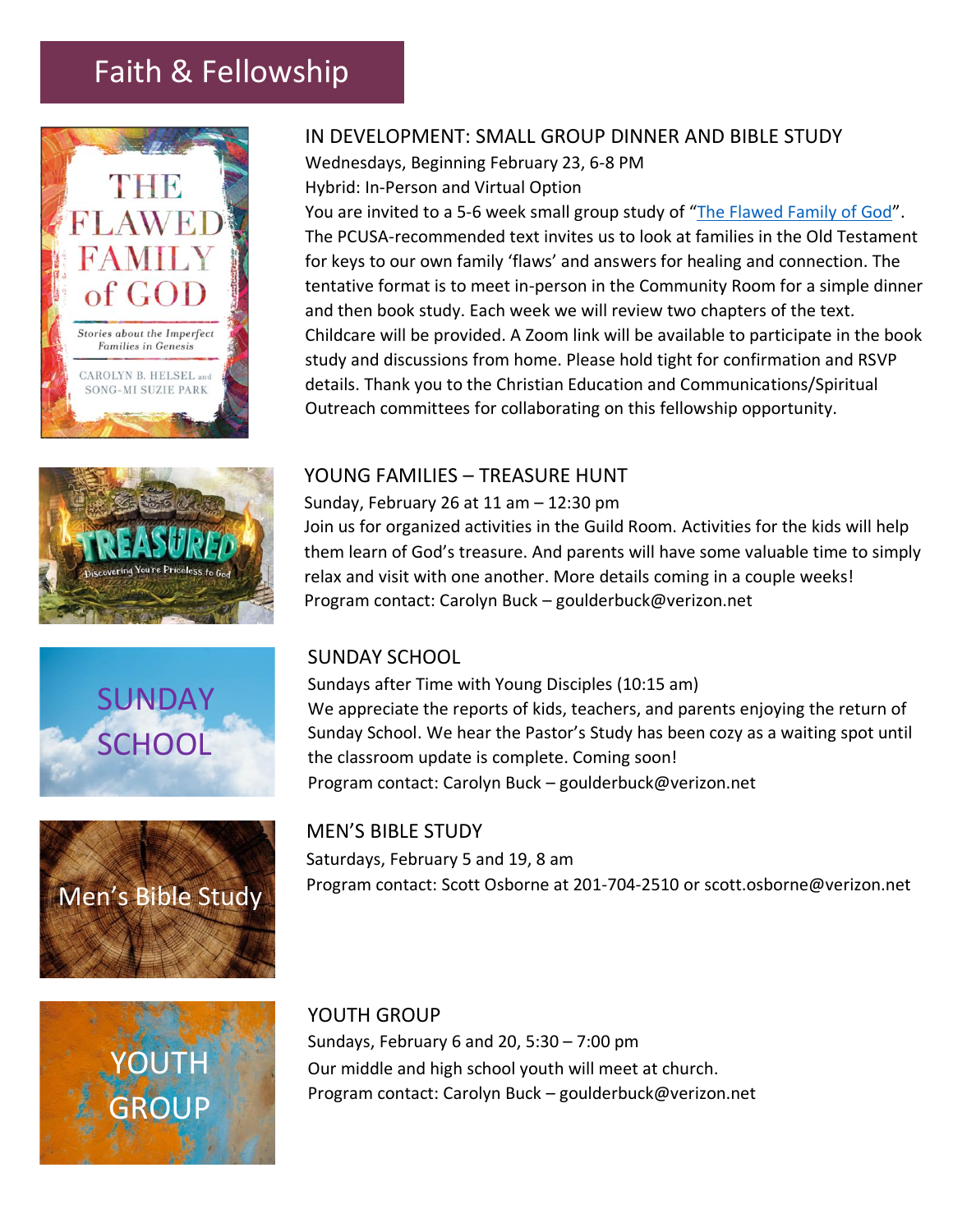# Faith & Fellowship











## IN DEVELOPMENT: SMALL GROUP DINNER AND BIBLE STUDY

Wednesdays, Beginning February 23, 6-8 PM Hybrid: In-Person and Virtual Option

You are invited to a 5-6 week small group study of "[The Flawed Family of God](https://www.pcusastore.com/Products/0664265987/the-flawed-family-of-god.aspx?bCategory=PCBST)". The PCUSA-recommended text invites us to look at families in the Old Testament for keys to our own family 'flaws' and answers for healing and connection. The tentative format is to meet in-person in the Community Room for a simple dinner and then book study. Each week we will review two chapters of the text. Childcare will be provided. A Zoom link will be available to participate in the book study and discussions from home. Please hold tight for confirmation and RSVP details. Thank you to the Christian Education and Communications/Spiritual Outreach committees for collaborating on this fellowship opportunity.

### YOUNG FAMILIES – TREASURE HUNT

Sunday, February 26 at 11 am – 12:30 pm

Join us for organized activities in the Guild Room. Activities for the kids will help them learn of God's treasure. And parents will have some valuable time to simply relax and visit with one another. More details coming in a couple weeks! Program contact: Carolyn Buck – goulderbuck@verizon.net

### SUNDAY SCHOOL

Sundays after Time with Young Disciples (10:15 am) We appreciate the reports of kids, teachers, and parents enjoying the return of Sunday School. We hear the Pastor's Study has been cozy as a waiting spot until the classroom update is complete. Coming soon! Program contact: Carolyn Buck – goulderbuck@verizon.net

MEN'S BIBLE STUDY Saturdays, February 5 and 19, 8 am Program contact: Scott Osborne at 201-704-2510 or [scott.osborne@verizon.net](mailto:scott.osborne@verizon.net)

YOUTH GROUP Sundays, February 6 and 20, 5:30 – 7:00 pm Our middle and high school youth will meet at church. Program contact: Carolyn Buck – goulderbuck@verizon.net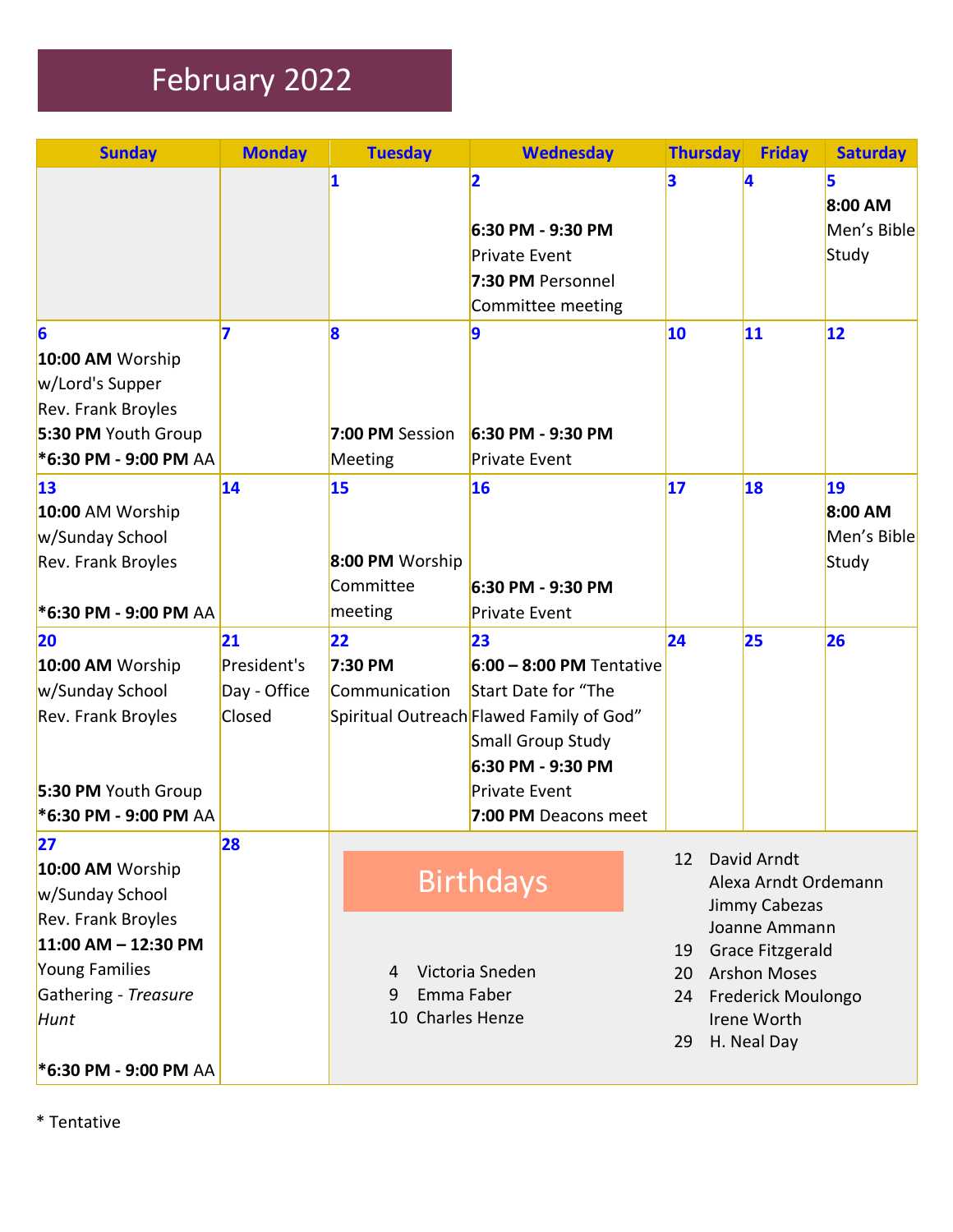# February 2022

| <b>Sunday</b>             | <b>Monday</b> | <b>Tuesday</b>       | <b>Wednesday</b>                         | <b>Thursday</b> |                     | <b>Friday</b>           | <b>Saturday</b> |
|---------------------------|---------------|----------------------|------------------------------------------|-----------------|---------------------|-------------------------|-----------------|
|                           |               | $\vert$ 1            | $\overline{2}$                           | 3               | 4                   |                         | 5               |
|                           |               |                      |                                          |                 |                     |                         | 8:00 AM         |
|                           |               |                      | 6:30 PM - 9:30 PM                        |                 |                     |                         | Men's Bible     |
|                           |               |                      | <b>Private Event</b>                     |                 |                     |                         | Study           |
|                           |               |                      | 7:30 PM Personnel                        |                 |                     |                         |                 |
|                           |               |                      | Committee meeting                        |                 |                     |                         |                 |
| $\vert 6$                 | 7             | 8                    | 9                                        | 10              | 11                  |                         | 12              |
| 10:00 AM Worship          |               |                      |                                          |                 |                     |                         |                 |
| w/Lord's Supper           |               |                      |                                          |                 |                     |                         |                 |
| <b>Rev. Frank Broyles</b> |               |                      |                                          |                 |                     |                         |                 |
| 5:30 PM Youth Group       |               | 7:00 PM Session      | 6:30 PM - 9:30 PM                        |                 |                     |                         |                 |
| *6:30 PM - 9:00 PM AA     |               | Meeting              | <b>Private Event</b>                     |                 |                     |                         |                 |
| 13                        | 14            | 15                   | 16                                       | 17              | 18                  |                         | 19              |
| 10:00 AM Worship          |               |                      |                                          |                 |                     |                         | 8:00 AM         |
| w/Sunday School           |               |                      |                                          |                 |                     |                         | Men's Bible     |
| Rev. Frank Broyles        |               | 8:00 PM Worship      |                                          |                 |                     |                         | Study           |
|                           |               | Committee            | 6:30 PM - 9:30 PM                        |                 |                     |                         |                 |
| *6:30 PM - 9:00 PM AA     |               | meeting              | <b>Private Event</b>                     |                 |                     |                         |                 |
| <b>20</b>                 | 21            | 22                   | 23                                       | 24              | 25                  |                         | 26              |
| 10:00 AM Worship          | President's   | 7:30 PM              | $6:00 - 8:00$ PM Tentative               |                 |                     |                         |                 |
| w/Sunday School           | Day - Office  | Communication        | Start Date for "The                      |                 |                     |                         |                 |
| Rev. Frank Broyles        | Closed        |                      | Spiritual Outreach Flawed Family of God" |                 |                     |                         |                 |
|                           |               |                      | Small Group Study                        |                 |                     |                         |                 |
|                           |               |                      | 6:30 PM - 9:30 PM                        |                 |                     |                         |                 |
| 5:30 PM Youth Group       |               |                      | <b>Private Event</b>                     |                 |                     |                         |                 |
| *6:30 PM - 9:00 PM AA     |               |                      | 7:00 PM Deacons meet                     |                 |                     |                         |                 |
| 27                        | 28            |                      |                                          | 12              |                     | David Arndt             |                 |
| 10:00 AM Worship          |               |                      | <b>Birthdays</b>                         |                 |                     | Alexa Arndt Ordemann    |                 |
| w/Sunday School           |               |                      |                                          |                 |                     | Jimmy Cabezas           |                 |
| Rev. Frank Broyles        |               |                      |                                          |                 |                     | Joanne Ammann           |                 |
| $11:00$ AM - 12:30 PM     |               |                      |                                          | 19              |                     | <b>Grace Fitzgerald</b> |                 |
| Young Families            |               | Victoria Sneden<br>4 |                                          | 20              | <b>Arshon Moses</b> |                         |                 |
| Gathering - Treasure      |               | Emma Faber<br>9      |                                          | 24              | Frederick Moulongo  |                         |                 |
| Hunt                      |               | 10 Charles Henze     |                                          |                 |                     | Irene Worth             |                 |
|                           |               |                      |                                          | 29              |                     | H. Neal Day             |                 |
| *6:30 PM - 9:00 PM AA     |               |                      |                                          |                 |                     |                         |                 |

\* Tentative